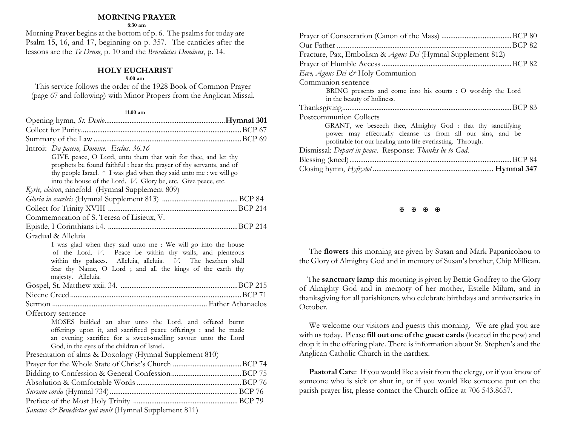## **MORNING PRAYER**

**8:30 am**

Morning Prayer begins at the bottom of p. 6. The psalms for today are Psalm 15, 16, and 17, beginning on p. 357. The canticles after the lessons are the *Te Deum*, p. 10 and the *Benedictus Dominus*, p. 14.

### **HOLY EUCHARIST**

#### **9:00 am**

This service follows the order of the 1928 Book of Common Prayer (page 67 and following) with Minor Propers from the Anglican Missal.

#### **11:00 am**

| Introit Da pacem, Domine. Ecclus. 36.16                              |  |
|----------------------------------------------------------------------|--|
| GIVE peace, O Lord, unto them that wait for thee, and let thy        |  |
| prophets be found faithful : hear the prayer of thy servants, and of |  |
| thy people Israel. * I was glad when they said unto me : we will go  |  |
| into the house of the Lord. V. Glory be, etc. Give peace, etc.       |  |
| Kyrie, eleison, ninefold (Hymnal Supplement 809)                     |  |
|                                                                      |  |
|                                                                      |  |
| Commemoration of S. Teresa of Lisieux, V.                            |  |
|                                                                      |  |
| Gradual & Alleluia                                                   |  |
| I was glad when they said unto me: We will go into the house         |  |
| of the Lord. V. Peace be within thy walls, and plenteous             |  |
| within thy palaces. Alleluia, alleluia. V. The heathen shall         |  |
| fear thy Name, O Lord ; and all the kings of the earth thy           |  |
| majesty. Alleluia.                                                   |  |
|                                                                      |  |
|                                                                      |  |
|                                                                      |  |
| Offertory sentence                                                   |  |
| MOSES builded an altar unto the Lord, and offered burnt              |  |
| offerings upon it, and sacrificed peace offerings : and he made      |  |
| an evening sacrifice for a sweet-smelling savour unto the Lord       |  |
| God, in the eyes of the children of Israel.                          |  |
| Presentation of alms & Doxology (Hymnal Supplement 810)              |  |
|                                                                      |  |
|                                                                      |  |
|                                                                      |  |
|                                                                      |  |
|                                                                      |  |
| <i>Sanctus &amp; Benedictus qui venit</i> (Hymnal Supplement 811)    |  |

| Fracture, Pax, Embolism & Agnus Dei (Hymnal Supplement 812)                                                                                                                            |
|----------------------------------------------------------------------------------------------------------------------------------------------------------------------------------------|
|                                                                                                                                                                                        |
| Ecee, Agnus Dei & Holy Communion                                                                                                                                                       |
| Communion sentence                                                                                                                                                                     |
| BRING presents and come into his courts : O worship the Lord                                                                                                                           |
| in the beauty of holiness.                                                                                                                                                             |
|                                                                                                                                                                                        |
| Postcommunion Collects                                                                                                                                                                 |
| GRANT, we beseech thee, Almighty God: that thy sanctifying<br>power may effectually cleanse us from all our sins, and be<br>profitable for our healing unto life everlasting. Through. |
| Dismissal: Depart in peace. Response: Thanks be to God.                                                                                                                                |
|                                                                                                                                                                                        |
|                                                                                                                                                                                        |

**K K K K** 

The **flowers** this morning are given by Susan and Mark Papanicolaou to the Glory of Almighty God and in memory of Susan's brother, Chip Millican.

 The **sanctuary lamp** this morning is given by Bettie Godfrey to the Glory of Almighty God and in memory of her mother, Estelle Milum, and in thanksgiving for all parishioners who celebrate birthdays and anniversaries in October.

We welcome our visitors and guests this morning. We are glad you are with us today. Please **fill out one of the guest cards** (located in the pew) and drop it in the offering plate. There is information about St. Stephen's and the Anglican Catholic Church in the narthex.

Pastoral Care: If you would like a visit from the clergy, or if you know of someone who is sick or shut in, or if you would like someone put on the parish prayer list, please contact the Church office at 706 543.8657.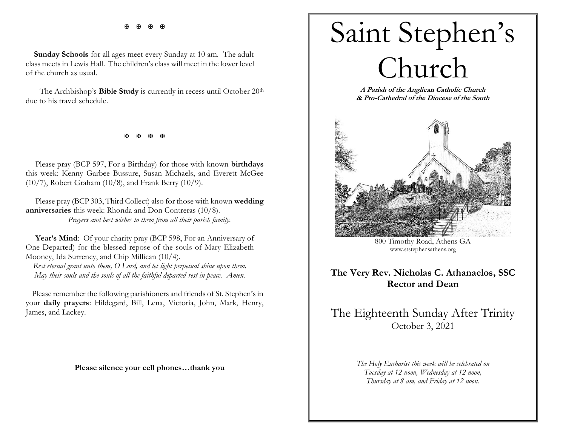医医医医

 **Sunday Schools** for all ages meet every Sunday at 10 am. The adult class meets in Lewis Hall. The children's class will meet in the lower level of the church as usual.

The Archbishop's **Bible Study** is currently in recess until October 20<sup>th</sup> due to his travel schedule.

医医医医

Please pray (BCP 597, For a Birthday) for those with known **birthdays** this week: Kenny Garbee Bussure, Susan Michaels, and Everett McGee (10/7), Robert Graham (10/8), and Frank Berry (10/9).

Please pray (BCP 303, Third Collect) also for those with known **wedding anniversaries** this week: Rhonda and Don Contreras (10/8). *Prayers and best wishes to them from all their parish family.*

Year's Mind: Of your charity pray (BCP 598, For an Anniversary of One Departed) for the blessed repose of the souls of Mary Elizabeth Mooney, Ida Surrency, and Chip Millican (10/4).

*Rest eternal grant unto them, O Lord, and let light perpetual shine upon them. May their souls and the souls of all the faithful departed rest in peace. Amen.*

 Please remember the following parishioners and friends of St. Stephen's in your **daily prayers**: Hildegard, Bill, Lena, Victoria, John, Mark, Henry, James, and Lackey.

**Please silence your cell phones…thank you**



**A Parish of the Anglican Catholic Church & Pro-Cathedral of the Diocese of the South**



800 Timothy Road, Athens GA [www.ststephensathens.org](http://www.ststephensathens.org/)

## **The Very Rev. Nicholas C. Athanaelos, SSC Rector and Dean**

# The Eighteenth Sunday After Trinity October 3, 2021

*The Holy Eucharist this week will be celebrated on Tuesday at 12 noon, Wednesday at 12 noon, Thursday at 8 am, and Friday at 12 noon.*